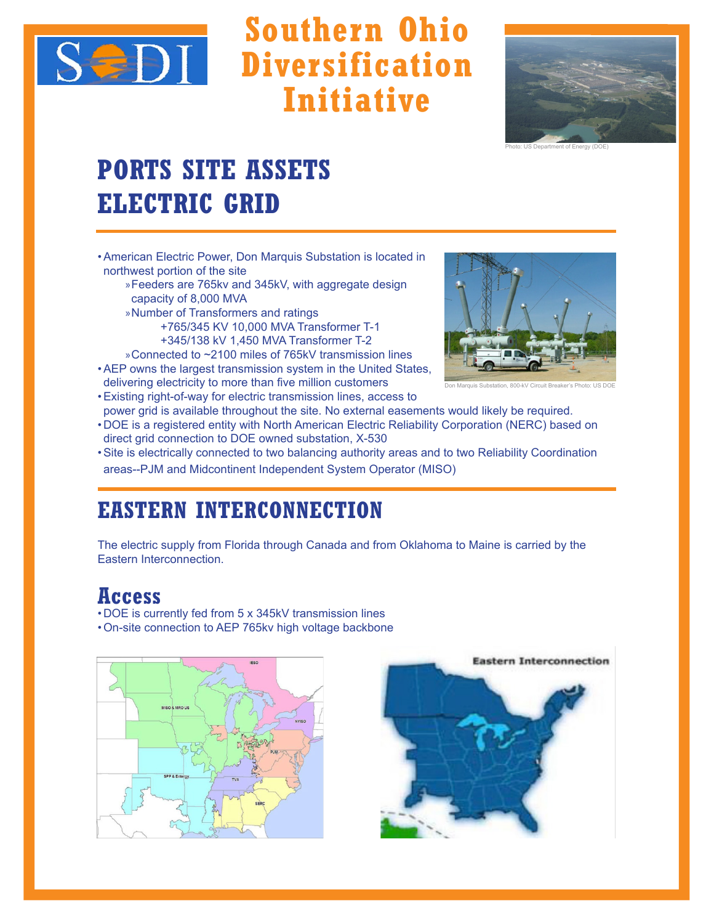

# **Southern Ohio Diversification Initiative**



Photo: US Department of Energy (DOE)

## **PORTS SITE ASSETS ELECTRIC GRID**

•American Electric Power, Don Marquis Substation is located in northwest portion of the site

 $\overline{\phantom{a}}$  , and the contract of the contract of the contract of the contract of the contract of the contract of the contract of the contract of the contract of the contract of the contract of the contract of the contrac

- »Feeders are 765kv and 345kV, with aggregate design capacity of 8,000 MVA
- »Number of Transformers and ratings +765/345 KV 10,000 MVA Transformer T-1 +345/138 kV 1,450 MVA Transformer T-2
- »Connected to ~2100 miles of 765kV transmission lines
- •AEP owns the largest transmission system in the United States, delivering electricity to more than five million customers



Don Marquis Substation, 800-kV Circuit Breaker's Photo: US DOE

- •Existing right-of-way for electric transmission lines, access to power grid is available throughout the site. No external easements would likely be required.
- DOE is a registered entity with North American Electric Reliability Corporation (NERC) based on direct grid connection to DOE owned substation, X-530
- •Site is electrically connected to two balancing authority areas and to two Reliability Coordination areas--PJM and Midcontinent Independent System Operator (MISO)

### **EASTERN INTERCONNECTION**

The electric supply from Florida through Canada and from Oklahoma to Maine is carried by the Eastern Interconnection.

### **Access**

- DOE is currently fed from 5 x 345kV transmission lines
- •On-site connection to AEP 765kv high voltage backbone